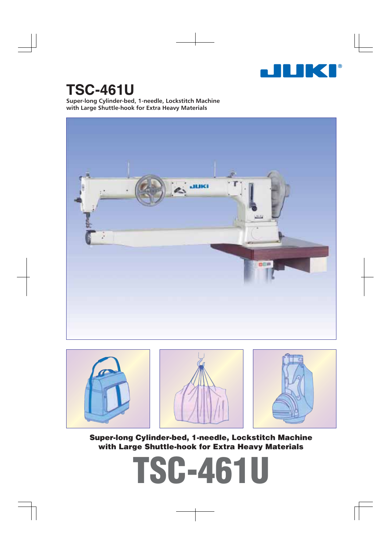

# **TSC-461U**

**Super-long Cylinder-bed, 1-needle, Lockstitch Machine with Large Shuttle-hook for Extra Heavy Materials**







**Super-long Cylinder-bed, 1-needle, Lockstitch Machine with Large Shuttle-hook for Extra Heavy Materials**

**TSC-461U**